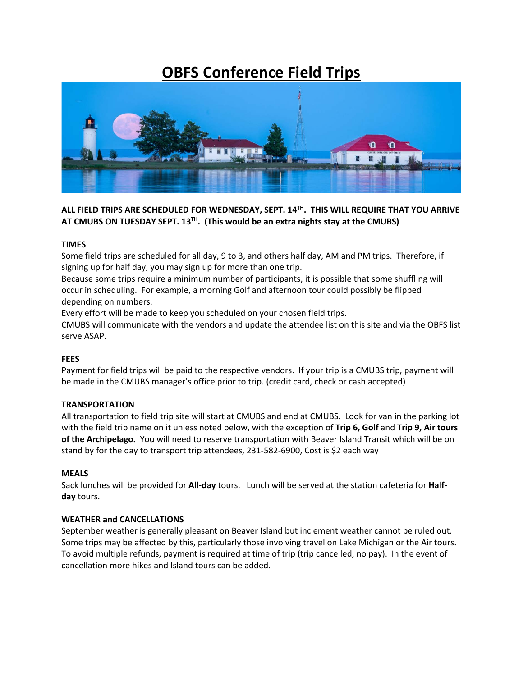# **OBFS Conference Field Trips**



**ALL FIELD TRIPS ARE SCHEDULED FOR WEDNESDAY, SEPT. 14TH. THIS WILL REQUIRE THAT YOU ARRIVE AT CMUBS ON TUESDAY SEPT. 13TH. (This would be an extra nights stay at the CMUBS)**

#### **TIMES**

Some field trips are scheduled for all day, 9 to 3, and others half day, AM and PM trips. Therefore, if signing up for half day, you may sign up for more than one trip.

Because some trips require a minimum number of participants, it is possible that some shuffling will occur in scheduling. For example, a morning Golf and afternoon tour could possibly be flipped depending on numbers.

Every effort will be made to keep you scheduled on your chosen field trips.

CMUBS will communicate with the vendors and update the attendee list on this site and via the OBFS list serve ASAP.

### **FEES**

Payment for field trips will be paid to the respective vendors. If your trip is a CMUBS trip, payment will be made in the CMUBS manager's office prior to trip. (credit card, check or cash accepted)

### **TRANSPORTATION**

All transportation to field trip site will start at CMUBS and end at CMUBS. Look for van in the parking lot with the field trip name on it unless noted below, with the exception of **Trip 6, Golf** and **Trip 9, Air tours of the Archipelago.** You will need to reserve transportation with Beaver Island Transit which will be on stand by for the day to transport trip attendees, 231-582-6900, Cost is \$2 each way

#### **MEALS**

Sack lunches will be provided for **All-day** tours. Lunch will be served at the station cafeteria for **Halfday** tours.

#### **WEATHER and CANCELLATIONS**

September weather is generally pleasant on Beaver Island but inclement weather cannot be ruled out. Some trips may be affected by this, particularly those involving travel on Lake Michigan or the Air tours. To avoid multiple refunds, payment is required at time of trip (trip cancelled, no pay). In the event of cancellation more hikes and Island tours can be added.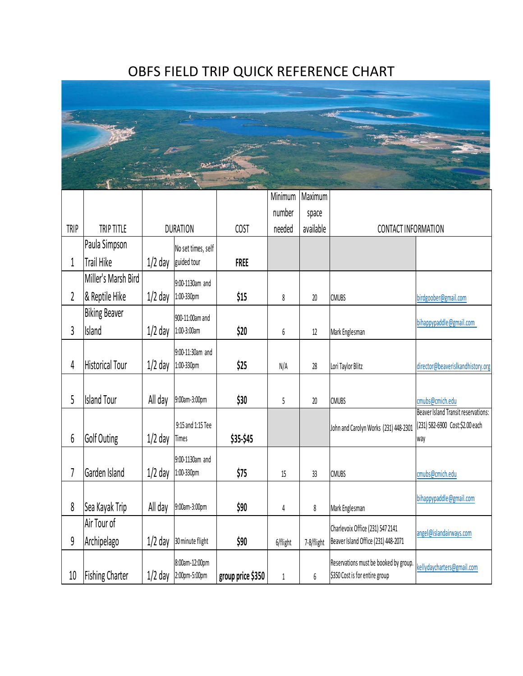# OBFS FIELD TRIP QUICK REFERENCE CHART



|             |                        |                 |                                   |                   | Minimum  | Maximum    |                                                                         |                                        |
|-------------|------------------------|-----------------|-----------------------------------|-------------------|----------|------------|-------------------------------------------------------------------------|----------------------------------------|
|             |                        |                 |                                   |                   | number   | space      |                                                                         |                                        |
| <b>TRIP</b> | TRIP TITLE             | <b>DURATION</b> |                                   | <b>COST</b>       | needed   | available  | CONTACT INFORMATION                                                     |                                        |
|             | Paula Simpson          |                 | No set times, self                |                   |          |            |                                                                         |                                        |
| 1           | Trail Hike             | $1/2$ day       | guided tour                       | <b>FREE</b>       |          |            |                                                                         |                                        |
|             | Miller's Marsh Bird    |                 | 9:00-1130am and                   |                   |          |            |                                                                         |                                        |
| 2           | & Reptile Hike         | $1/2$ day       | 1:00-330pm                        | \$15              | 8        | $20\,$     | <b>CMUBS</b>                                                            | birdgoober@gmail.com                   |
|             | <b>Biking Beaver</b>   |                 | 900-11:00am and                   |                   |          |            |                                                                         |                                        |
| 3           | Island                 | $1/2$ day       | 1:00-3:00am                       | \$20              | 6        | $12\,$     | Mark Englesman                                                          | bihappypaddle@gmail.com                |
|             |                        |                 | 9:00-11:30am and                  |                   |          |            |                                                                         |                                        |
| 4           | <b>Historical Tour</b> | $1/2$ day       | 1:00-330pm                        | \$25              | N/A      | $28$       | Lori Taylor Blitz                                                       | director@beaverislkandhistory.org      |
|             |                        |                 |                                   |                   |          |            |                                                                         |                                        |
| 5           | <b>Island Tour</b>     | All day         | 9:00am-3:00pm                     | \$30              | 5        | 20         | <b>CMUBS</b>                                                            | cmubs@cmich.edu                        |
|             |                        |                 |                                   |                   |          |            |                                                                         | Beaver Island Transit reservations:    |
| 6           | Golf Outing            | $1/2$ day       | 9:15 and 1:15 Tee<br><b>Times</b> | \$35-\$45         |          |            | John and Carolyn Works (231) 448-2301                                   | (231) 582-6900 Cost:\$2.00 each<br>way |
|             |                        |                 |                                   |                   |          |            |                                                                         |                                        |
| 7           | Garden Island          | $1/2$ day       | 9:00-1130am and<br>1:00-330pm     | \$75              | 15       | 33         | <b>CMUBS</b>                                                            | cmubs@cmich.edu                        |
|             |                        |                 |                                   |                   |          |            |                                                                         |                                        |
| 8           | Sea Kayak Trip         | All day         | 9:00am-3:00pm                     | \$90              | 4        | 8          | Mark Englesman                                                          | bihappypaddle@gmail.com                |
|             | Air Tour of            |                 |                                   |                   |          |            |                                                                         |                                        |
| 9           | Archipelago            | $1/2$ day       | 30 minute flight                  | \$90              | 6/flight | 7-8/flight | Charlevoix Office (231) 547 2141<br>Beaver Island Office (231) 448-2071 | angel@islandairways.com                |
|             |                        |                 |                                   |                   |          |            |                                                                         |                                        |
| 10          |                        | $1/2$ day       | 8:00am-12:00pm<br>2:00pm-5:00pm   |                   |          |            | Reservations must be booked by group.<br>\$350 Cost is for entire group | kellydaycharters@gmail.com             |
|             | <b>Fishing Charter</b> |                 |                                   | group price \$350 | 1        | 6          |                                                                         |                                        |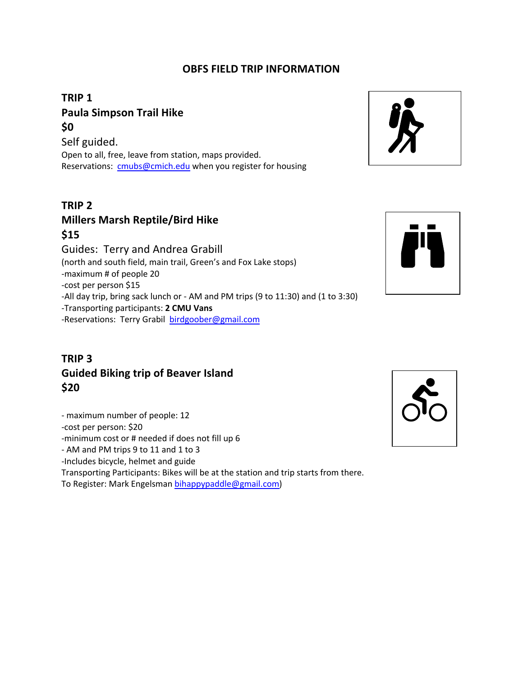### **OBFS FIELD TRIP INFORMATION**

# **TRIP 1 Paula Simpson Trail Hike \$0**

Self guided. Open to all, free, leave from station, maps provided. Reservations: cmubs@cmich.edu when you register for housing

### **TRIP 2 Millers Marsh Reptile/Bird Hike \$15**

Guides: Terry and Andrea Grabill (north and south field, main trail, Green's and Fox Lake stops) -maximum # of people 20 -cost per person \$15 -All day trip, bring sack lunch or - AM and PM trips (9 to 11:30) and (1 to 3:30) -Transporting participants: **2 CMU Vans** -Reservations: Terry Grabil birdgoober@gmail.com

# **TRIP 3 Guided Biking trip of Beaver Island \$20**

- maximum number of people: 12 -cost per person: \$20 -minimum cost or # needed if does not fill up 6 - AM and PM trips 9 to 11 and 1 to 3 -Includes bicycle, helmet and guide Transporting Participants: Bikes will be at the station and trip starts from there.

To Register: Mark Engelsman bihappypaddle@gmail.com)





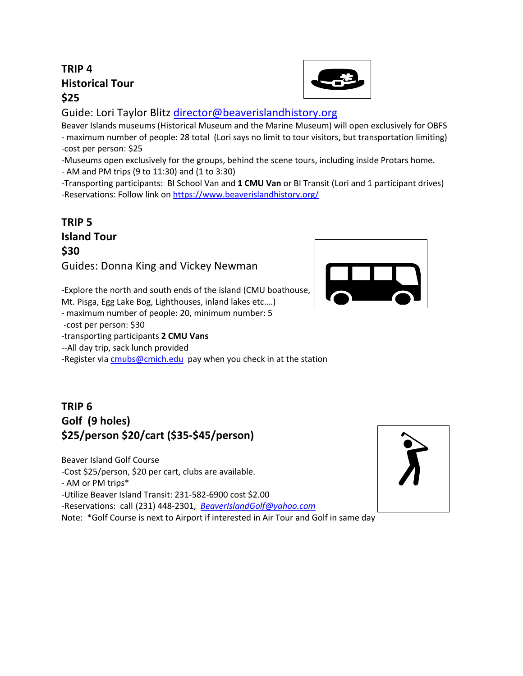# **TRIP 4 Historical Tour \$25**



Guide: Lori Taylor Blitz director@beaverislandhistory.org

Beaver Islands museums (Historical Museum and the Marine Museum) will open exclusively for OBFS - maximum number of people: 28 total (Lori says no limit to tour visitors, but transportation limiting) -cost per person: \$25

-Museums open exclusively for the groups, behind the scene tours, including inside Protars home.

- AM and PM trips (9 to 11:30) and (1 to 3:30)

-Transporting participants: BI School Van and **1 CMU Van** or BI Transit (Lori and 1 participant drives) -Reservations: Follow link on https://www.beaverislandhistory.org/

**TRIP 5 Island Tour \$30** Guides: Donna King and Vickey Newman

-Explore the north and south ends of the island (CMU boathouse,

Mt. Pisga, Egg Lake Bog, Lighthouses, inland lakes etc.…)

- maximum number of people: 20, minimum number: 5

-cost per person: \$30

-transporting participants **2 CMU Vans**

--All day trip, sack lunch provided

-Register via cmubs@cmich.edu pay when you check in at the station

# **TRIP 6 Golf (9 holes) \$25/person \$20/cart (\$35-\$45/person)**

Beaver Island Golf Course

-Cost \$25/person, \$20 per cart, clubs are available.

- AM or PM trips\*

-Utilize Beaver Island Transit: 231-582-6900 cost \$2.00

-Reservations: call (231) 448-2301, *BeaverIslandGolf@yahoo.com*

Note: \*Golf Course is next to Airport if interested in Air Tour and Golf in same day



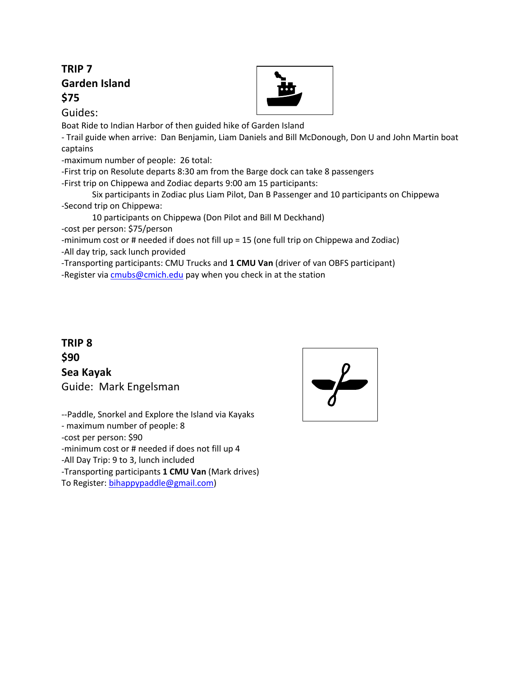## **TRIP 7 Garden Island \$75**

Guides:

Boat Ride to Indian Harbor of then guided hike of Garden Island

- Trail guide when arrive: Dan Benjamin, Liam Daniels and Bill McDonough, Don U and John Martin boat captains

-maximum number of people: 26 total:

-First trip on Resolute departs 8:30 am from the Barge dock can take 8 passengers

-First trip on Chippewa and Zodiac departs 9:00 am 15 participants:

Six participants in Zodiac plus Liam Pilot, Dan B Passenger and 10 participants on Chippewa -Second trip on Chippewa:

10 participants on Chippewa (Don Pilot and Bill M Deckhand)

-cost per person: \$75/person

-minimum cost or # needed if does not fill up = 15 (one full trip on Chippewa and Zodiac) -All day trip, sack lunch provided

-Transporting participants: CMU Trucks and **1 CMU Van** (driver of van OBFS participant)

-Register via cmubs@cmich.edu pay when you check in at the station

# **TRIP 8 \$90 Sea Kayak**  Guide: Mark Engelsman

--Paddle, Snorkel and Explore the Island via Kayaks - maximum number of people: 8 -cost per person: \$90 -minimum cost or # needed if does not fill up 4 -All Day Trip: 9 to 3, lunch included -Transporting participants **1 CMU Van** (Mark drives) To Register: bihappypaddle@gmail.com)

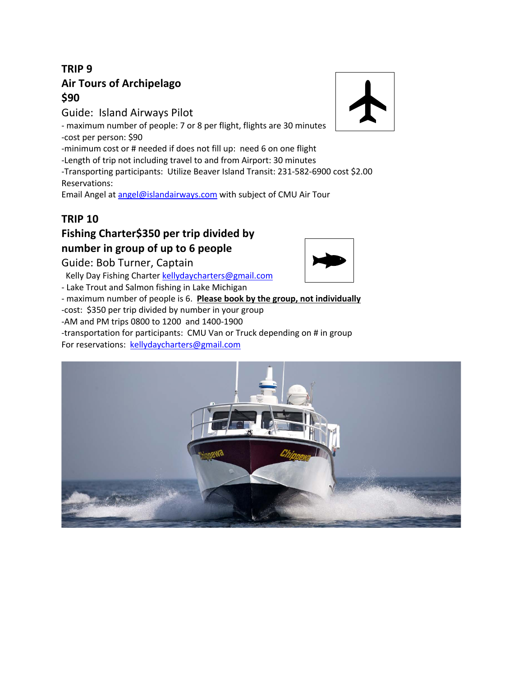# **TRIP 9 Air Tours of Archipelago \$90**

Guide: Island Airways Pilot

- maximum number of people: 7 or 8 per flight, flights are 30 minutes -cost per person: \$90

-minimum cost or # needed if does not fill up: need 6 on one flight

-Length of trip not including travel to and from Airport: 30 minutes

-Transporting participants: Utilize Beaver Island Transit: 231-582-6900 cost \$2.00 Reservations:

Email Angel at angel@islandairways.com with subject of CMU Air Tour

## **TRIP 10**

# **Fishing Charter\$350 per trip divided by number in group of up to 6 people**

Guide: Bob Turner, Captain

Kelly Day Fishing Charter kellydaycharters@gmail.com

- Lake Trout and Salmon fishing in Lake Michigan

- maximum number of people is 6. **Please book by the group, not individually** -cost: \$350 per trip divided by number in your group -AM and PM trips 0800 to 1200 and 1400-1900 -transportation for participants: CMU Van or Truck depending on # in group

For reservations: kellydaycharters@gmail.com